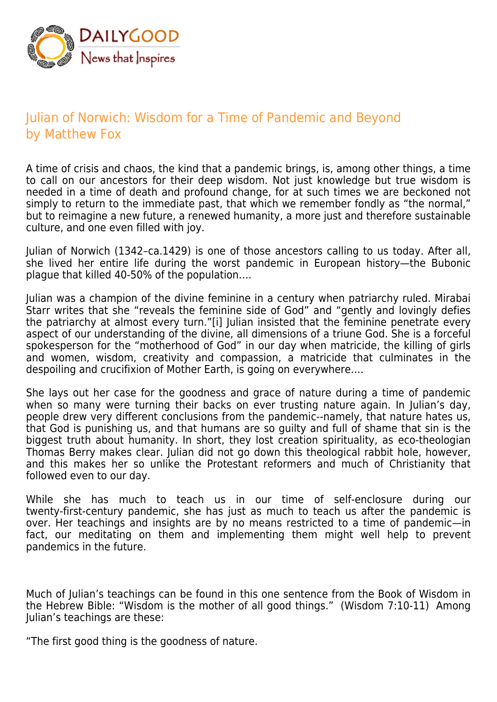

## Julian of Norwich: Wisdom for a Time of Pandemic and Beyond by Matthew Fox

A time of crisis and chaos, the kind that a pandemic brings, is, among other things, a time to call on our ancestors for their deep wisdom. Not just knowledge but true wisdom is needed in a time of death and profound change, for at such times we are beckoned not simply to return to the immediate past, that which we remember fondly as "the normal," but to reimagine a new future, a renewed humanity, a more just and therefore sustainable culture, and one even filled with joy.

Julian of Norwich (1342–ca.1429) is one of those ancestors calling to us today. After all, she lived her entire life during the worst pandemic in European history—the Bubonic plague that killed 40-50% of the population….

Julian was a champion of the divine feminine in a century when patriarchy ruled. Mirabai Starr writes that she "reveals the feminine side of God" and "gently and lovingly defies the patriarchy at almost every turn."[i] Julian insisted that the feminine penetrate every aspect of our understanding of the divine, all dimensions of a triune God. She is a forceful spokesperson for the "motherhood of God" in our day when matricide, the killing of girls and women, wisdom, creativity and compassion, a matricide that culminates in the despoiling and crucifixion of Mother Earth, is going on everywhere….

She lays out her case for the goodness and grace of nature during a time of pandemic when so many were turning their backs on ever trusting nature again. In Julian's day, people drew very different conclusions from the pandemic--namely, that nature hates us, that God is punishing us, and that humans are so guilty and full of shame that sin is the biggest truth about humanity. In short, they lost creation spirituality, as eco-theologian Thomas Berry makes clear. Julian did not go down this theological rabbit hole, however, and this makes her so unlike the Protestant reformers and much of Christianity that followed even to our day.

While she has much to teach us in our time of self-enclosure during our twenty-first-century pandemic, she has just as much to teach us after the pandemic is over. Her teachings and insights are by no means restricted to a time of pandemic—in fact, our meditating on them and implementing them might well help to prevent pandemics in the future.

Much of Julian's teachings can be found in this one sentence from the Book of Wisdom in the Hebrew Bible: "Wisdom is the mother of all good things." (Wisdom 7:10-11) Among Julian's teachings are these:

"The first good thing is the goodness of nature.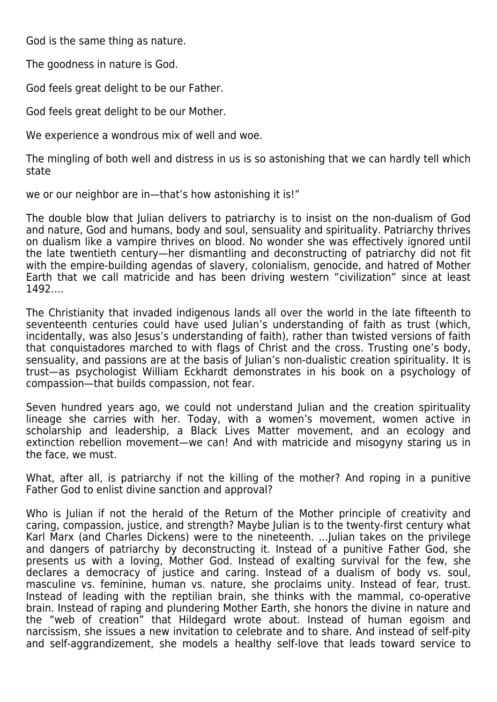God is the same thing as nature.

The goodness in nature is God.

God feels great delight to be our Father.

God feels great delight to be our Mother.

We experience a wondrous mix of well and woe.

The mingling of both well and distress in us is so astonishing that we can hardly tell which state

we or our neighbor are in—that's how astonishing it is!"

The double blow that Julian delivers to patriarchy is to insist on the non-dualism of God and nature, God and humans, body and soul, sensuality and spirituality. Patriarchy thrives on dualism like a vampire thrives on blood. No wonder she was effectively ignored until the late twentieth century—her dismantling and deconstructing of patriarchy did not fit with the empire-building agendas of slavery, colonialism, genocide, and hatred of Mother Earth that we call matricide and has been driving western "civilization" since at least 1492….

The Christianity that invaded indigenous lands all over the world in the late fifteenth to seventeenth centuries could have used Julian's understanding of faith as trust (which, incidentally, was also Jesus's understanding of faith), rather than twisted versions of faith that conquistadores marched to with flags of Christ and the cross. Trusting one's body, sensuality, and passions are at the basis of Julian's non-dualistic creation spirituality. It is trust—as psychologist William Eckhardt demonstrates in his book on a psychology of compassion—that builds compassion, not fear.

Seven hundred years ago, we could not understand Julian and the creation spirituality lineage she carries with her. Today, with a women's movement, women active in scholarship and leadership, a Black Lives Matter movement, and an ecology and extinction rebellion movement—we can! And with matricide and misogyny staring us in the face, we must.

What, after all, is patriarchy if not the killing of the mother? And roping in a punitive Father God to enlist divine sanction and approval?

Who is Julian if not the herald of the Return of the Mother principle of creativity and caring, compassion, justice, and strength? Maybe Julian is to the twenty-first century what Karl Marx (and Charles Dickens) were to the nineteenth. …Julian takes on the privilege and dangers of patriarchy by deconstructing it. Instead of a punitive Father God, she presents us with a loving, Mother God. Instead of exalting survival for the few, she declares a democracy of justice and caring. Instead of a dualism of body vs. soul, masculine vs. feminine, human vs. nature, she proclaims unity. Instead of fear, trust. Instead of leading with the reptilian brain, she thinks with the mammal, co-operative brain. Instead of raping and plundering Mother Earth, she honors the divine in nature and the "web of creation" that Hildegard wrote about. Instead of human egoism and narcissism, she issues a new invitation to celebrate and to share. And instead of self-pity and self-aggrandizement, she models a healthy self-love that leads toward service to